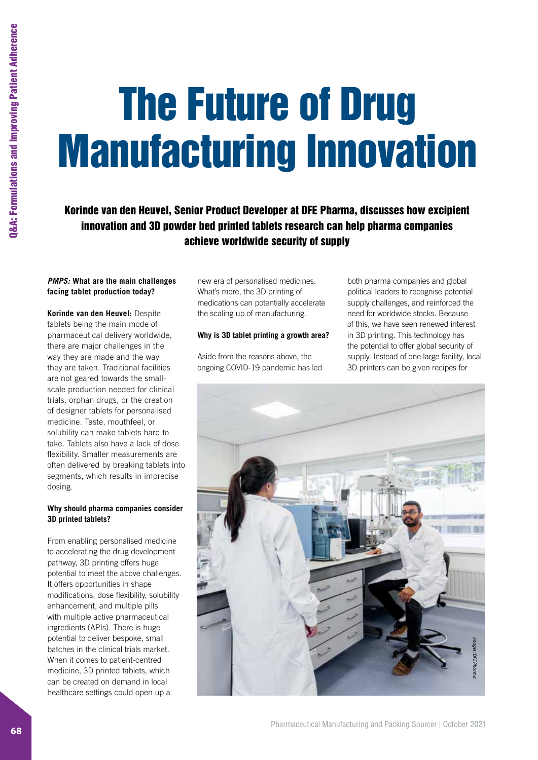# The Future of Drug Manufacturing Innovation

Korinde van den Heuvel, Senior Product Developer at DFE Pharma, discusses how excipient innovation and 3D powder bed printed tablets research can help pharma companies achieve worldwide security of supply

### *PMPS:* **What are the main challenges facing tablet production today?**

**Korinde van den Heuvel:** Despite tablets being the main mode of pharmaceutical delivery worldwide, there are major challenges in the way they are made and the way they are taken. Traditional facilities are not geared towards the smallscale production needed for clinical trials, orphan drugs, or the creation of designer tablets for personalised medicine. Taste, mouthfeel, or solubility can make tablets hard to take. Tablets also have a lack of dose flexibility. Smaller measurements are often delivered by breaking tablets into segments, which results in imprecise dosing.

### **Why should pharma companies consider 3D printed tablets?**

From enabling personalised medicine to accelerating the drug development pathway, 3D printing offers huge potential to meet the above challenges. It offers opportunities in shape modifications, dose flexibility, solubility enhancement, and multiple pills with multiple active pharmaceutical ingredients (APIs). There is huge potential to deliver bespoke, small batches in the clinical trials market. When it comes to patient-centred medicine, 3D printed tablets, which can be created on demand in local healthcare settings could open up a

new era of personalised medicines. What's more, the 3D printing of medications can potentially accelerate the scaling up of manufacturing.

### **Why is 3D tablet printing a growth area?**

Aside from the reasons above, the ongoing COVID-19 pandemic has led

both pharma companies and global political leaders to recognise potential supply challenges, and reinforced the need for worldwide stocks. Because of this, we have seen renewed interest in 3D printing. This technology has the potential to offer global security of supply. Instead of one large facility, local 3D printers can be given recipes for

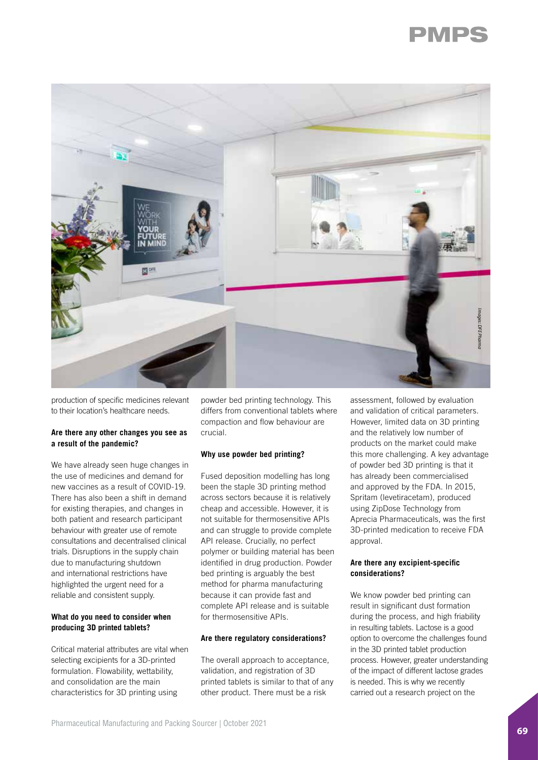



production of specific medicines relevant to their location's healthcare needs.

### **Are there any other changes you see as a result of the pandemic?**

We have already seen huge changes in the use of medicines and demand for new vaccines as a result of COVID-19. There has also been a shift in demand for existing therapies, and changes in both patient and research participant behaviour with greater use of remote consultations and decentralised clinical trials. Disruptions in the supply chain due to manufacturing shutdown and international restrictions have highlighted the urgent need for a reliable and consistent supply.

### **What do you need to consider when producing 3D printed tablets?**

Critical material attributes are vital when selecting excipients for a 3D-printed formulation. Flowability, wettability, and consolidation are the main characteristics for 3D printing using

powder bed printing technology. This differs from conventional tablets where compaction and flow behaviour are crucial.

### **Why use powder bed printing?**

Fused deposition modelling has long been the staple 3D printing method across sectors because it is relatively cheap and accessible. However, it is not suitable for thermosensitive APIs and can struggle to provide complete API release. Crucially, no perfect polymer or building material has been identified in drug production. Powder bed printing is arguably the best method for pharma manufacturing because it can provide fast and complete API release and is suitable for thermosensitive APIs.

### **Are there regulatory considerations?**

The overall approach to acceptance, validation, and registration of 3D printed tablets is similar to that of any other product. There must be a risk

assessment, followed by evaluation and validation of critical parameters. However, limited data on 3D printing and the relatively low number of products on the market could make this more challenging. A key advantage of powder bed 3D printing is that it has already been commercialised and approved by the FDA. In 2015, Spritam (levetiracetam), produced using ZipDose Technology from Aprecia Pharmaceuticals, was the first 3D-printed medication to receive FDA approval.

### **Are there any excipient-specific considerations?**

We know powder bed printing can result in significant dust formation during the process, and high friability in resulting tablets. Lactose is a good option to overcome the challenges found in the 3D printed tablet production process. However, greater understanding of the impact of different lactose grades is needed. This is why we recently carried out a research project on the